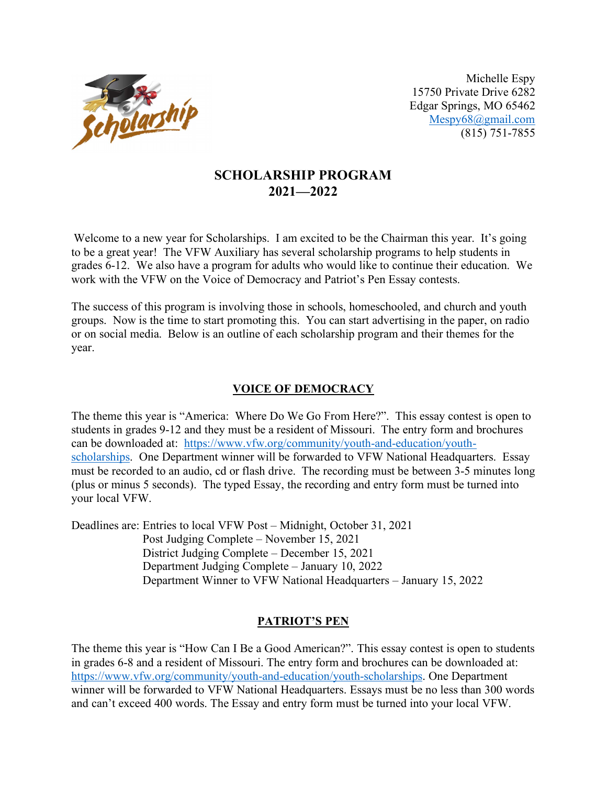

15750 Private Drive 6282 Edgar Springs, MO 65462 Mespy68@gmail.com (815) 751-7855

# **SCHOLARSHIP PROGRAM 2021—2022**

Welcome to a new year for Scholarships. I am excited to be the Chairman this year. It's going to be a great year! The VFW Auxiliary has several scholarship programs to help students in grades 6-12. We also have a program for adults who would like to continue their education. We work with the VFW on the Voice of Democracy and Patriot's Pen Essay contests.

The success of this program is involving those in schools, homeschooled, and church and youth groups. Now is the time to start promoting this. You can start advertising in the paper, on radio or on social media. Below is an outline of each scholarship program and their themes for the year.

## **VOICE OF DEMOCRACY**

The theme this year is "America: Where Do We Go From Here?". This essay contest is open to students in grades 9-12 and they must be a resident of Missouri. The entry form and brochures can be downloaded at: https://www.vfw.org/community/youth-and-education/youthscholarships. One Department winner will be forwarded to VFW National Headquarters. Essay must be recorded to an audio, cd or flash drive. The recording must be between 3-5 minutes long (plus or minus 5 seconds). The typed Essay, the recording and entry form must be turned into your local VFW.

Deadlines are: Entries to local VFW Post – Midnight, October 31, 2021 Post Judging Complete – November 15, 2021 District Judging Complete – December 15, 2021 Department Judging Complete – January 10, 2022 Department Winner to VFW National Headquarters – January 15, 2022

#### **PATRIOT'S PEN**

The theme this year is "How Can I Be a Good American?". This essay contest is open to students in grades 6-8 and a resident of Missouri. The entry form and brochures can be downloaded at: https://www.vfw.org/community/youth-and-education/youth-scholarships. One Department winner will be forwarded to VFW National Headquarters. Essays must be no less than 300 words and can't exceed 400 words. The Essay and entry form must be turned into your local VFW.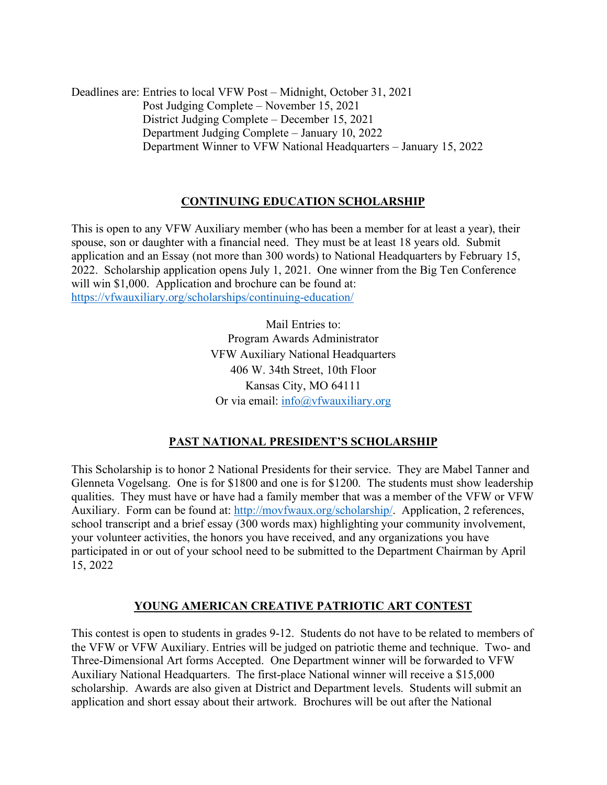Deadlines are: Entries to local VFW Post – Midnight, October 31, 2021 Post Judging Complete – November 15, 2021 District Judging Complete – December 15, 2021 Department Judging Complete – January 10, 2022 Department Winner to VFW National Headquarters – January 15, 2022

## **CONTINUING EDUCATION SCHOLARSHIP**

This is open to any VFW Auxiliary member (who has been a member for at least a year), their spouse, son or daughter with a financial need. They must be at least 18 years old. Submit application and an Essay (not more than 300 words) to National Headquarters by February 15, 2022. Scholarship application opens July 1, 2021. One winner from the Big Ten Conference will win \$1,000. Application and brochure can be found at: https://vfwauxiliary.org/scholarships/continuing-education/

> Mail Entries to: Program Awards Administrator VFW Auxiliary National Headquarters 406 W. 34th Street, 10th Floor Kansas City, MO 64111 Or via email:  $\frac{info(@)}{info(@)}$  when  $w.org$

#### **PAST NATIONAL PRESIDENT'S SCHOLARSHIP**

This Scholarship is to honor 2 National Presidents for their service. They are Mabel Tanner and Glenneta Vogelsang. One is for \$1800 and one is for \$1200. The students must show leadership qualities. They must have or have had a family member that was a member of the VFW or VFW Auxiliary. Form can be found at: http://movfwaux.org/scholarship/. Application, 2 references, school transcript and a brief essay (300 words max) highlighting your community involvement, your volunteer activities, the honors you have received, and any organizations you have participated in or out of your school need to be submitted to the Department Chairman by April 15, 2022

#### **YOUNG AMERICAN CREATIVE PATRIOTIC ART CONTEST**

This contest is open to students in grades 9-12. Students do not have to be related to members of the VFW or VFW Auxiliary. Entries will be judged on patriotic theme and technique. Two- and Three-Dimensional Art forms Accepted. One Department winner will be forwarded to VFW Auxiliary National Headquarters. The first-place National winner will receive a \$15,000 scholarship. Awards are also given at District and Department levels. Students will submit an application and short essay about their artwork. Brochures will be out after the National